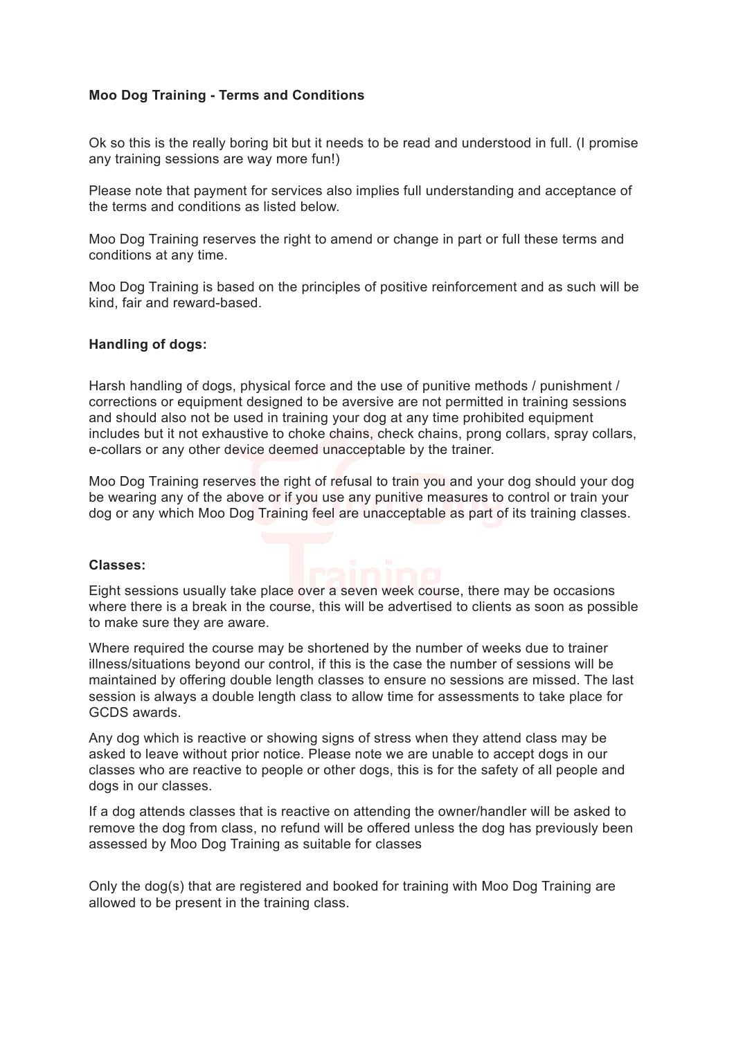# **Moo Dog Training - Terms and Conditions**

Ok so this is the really boring bit but it needs to be read and understood in full. (I promise any training sessions are way more fun!)

Please note that payment for services also implies full understanding and acceptance of the terms and conditions as listed below.

Moo Dog Training reserves the right to amend or change in part or full these terms and conditions at any time.

Moo Dog Training is based on the principles of positive reinforcement and as such will be kind, fair and reward-based.

## **Handling of dogs:**

Harsh handling of dogs, physical force and the use of punitive methods / punishment / corrections or equipment designed to be aversive are not permitted in training sessions and should also not be used in training your dog at any time prohibited equipment includes but it not exhaustive to choke chains, check chains, prong collars, spray collars, e-collars or any other device deemed unacceptable by the trainer.

Moo Dog Training reserves the right of refusal to train you and your dog should your dog be wearing any of the above or if you use any punitive measures to control or train your dog or any which Moo Dog Training feel are unacceptable as part of its training classes.

## **Classes:**

Eight sessions usually take place over a seven week course, there may be occasions where there is a break in the course, this will be advertised to clients as soon as possible to make sure they are aware.

Where required the course may be shortened by the number of weeks due to trainer illness/situations beyond our control, if this is the case the number of sessions will be maintained by offering double length classes to ensure no sessions are missed. The last session is always a double length class to allow time for assessments to take place for GCDS awards.

Any dog which is reactive or showing signs of stress when they attend class may be asked to leave without prior notice. Please note we are unable to accept dogs in our classes who are reactive to people or other dogs, this is for the safety of all people and dogs in our classes.

If a dog attends classes that is reactive on attending the owner/handler will be asked to remove the dog from class, no refund will be offered unless the dog has previously been assessed by Moo Dog Training as suitable for classes

Only the dog(s) that are registered and booked for training with Moo Dog Training are allowed to be present in the training class.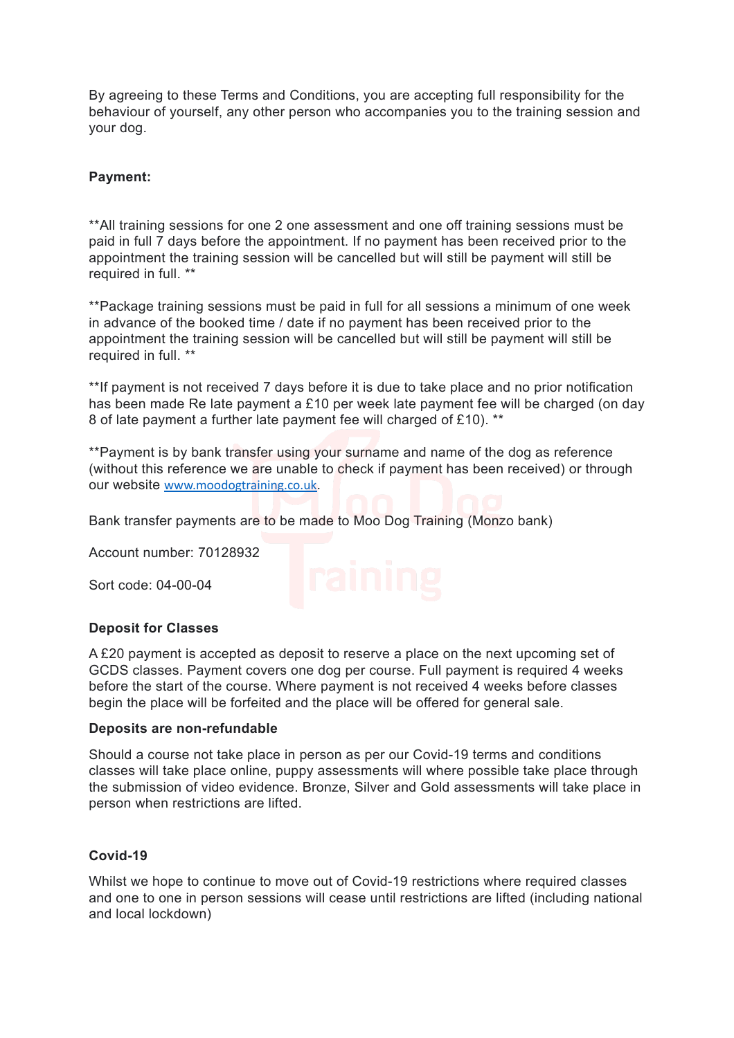By agreeing to these Terms and Conditions, you are accepting full responsibility for the behaviour of yourself, any other person who accompanies you to the training session and your dog.

# **Payment:**

\*\*All training sessions for one 2 one assessment and one off training sessions must be paid in full 7 days before the appointment. If no payment has been received prior to the appointment the training session will be cancelled but will still be payment will still be required in full. \*\*

\*\*Package training sessions must be paid in full for all sessions a minimum of one week in advance of the booked time / date if no payment has been received prior to the appointment the training session will be cancelled but will still be payment will still be required in full. \*\*

\*\*If payment is not received 7 days before it is due to take place and no prior notification has been made Re late payment a £10 per week late payment fee will be charged (on day 8 of late payment a further late payment fee will charged of £10). \*\*

\*\*Payment is by bank transfer using your surname and name of the dog as reference (without this reference we are unable to check if payment has been received) or through our website [www.moodogtraining.co.uk](http://www.moodogtraining.co.uk).

Bank transfer payments are to be made to Moo Dog Training (Monzo bank)

Account number: 70128932

Sort code: 04-00-04

## **Deposit for Classes**

A £20 payment is accepted as deposit to reserve a place on the next upcoming set of GCDS classes. Payment covers one dog per course. Full payment is required 4 weeks before the start of the course. Where payment is not received 4 weeks before classes begin the place will be forfeited and the place will be offered for general sale.

## **Deposits are non-refundable**

Should a course not take place in person as per our Covid-19 terms and conditions classes will take place online, puppy assessments will where possible take place through the submission of video evidence. Bronze, Silver and Gold assessments will take place in person when restrictions are lifted.

## **Covid-19**

Whilst we hope to continue to move out of Covid-19 restrictions where required classes and one to one in person sessions will cease until restrictions are lifted (including national and local lockdown)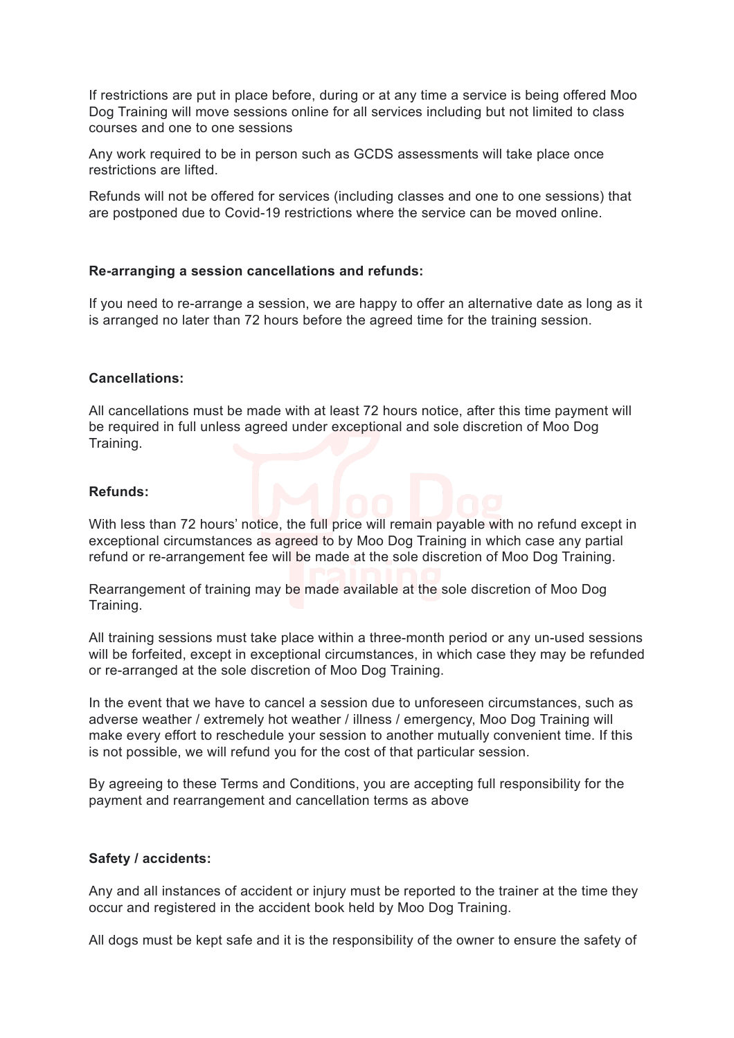If restrictions are put in place before, during or at any time a service is being offered Moo Dog Training will move sessions online for all services including but not limited to class courses and one to one sessions

Any work required to be in person such as GCDS assessments will take place once restrictions are lifted.

Refunds will not be offered for services (including classes and one to one sessions) that are postponed due to Covid-19 restrictions where the service can be moved online.

## **Re-arranging a session cancellations and refunds:**

If you need to re-arrange a session, we are happy to offer an alternative date as long as it is arranged no later than 72 hours before the agreed time for the training session.

## **Cancellations:**

All cancellations must be made with at least 72 hours notice, after this time payment will be required in full unless agreed under exceptional and sole discretion of Moo Dog Training.

## **Refunds:**

With less than 72 hours' notice, the full price will remain payable with no refund except in exceptional circumstances as agreed to by Moo Dog Training in which case any partial refund or re-arrangement fee will be made at the sole discretion of Moo Dog Training.

Rearrangement of training may be made available at the sole discretion of Moo Dog Training.

All training sessions must take place within a three-month period or any un-used sessions will be forfeited, except in exceptional circumstances, in which case they may be refunded or re-arranged at the sole discretion of Moo Dog Training.

In the event that we have to cancel a session due to unforeseen circumstances, such as adverse weather / extremely hot weather / illness / emergency, Moo Dog Training will make every effort to reschedule your session to another mutually convenient time. If this is not possible, we will refund you for the cost of that particular session.

By agreeing to these Terms and Conditions, you are accepting full responsibility for the payment and rearrangement and cancellation terms as above

## **Safety / accidents:**

Any and all instances of accident or injury must be reported to the trainer at the time they occur and registered in the accident book held by Moo Dog Training.

All dogs must be kept safe and it is the responsibility of the owner to ensure the safety of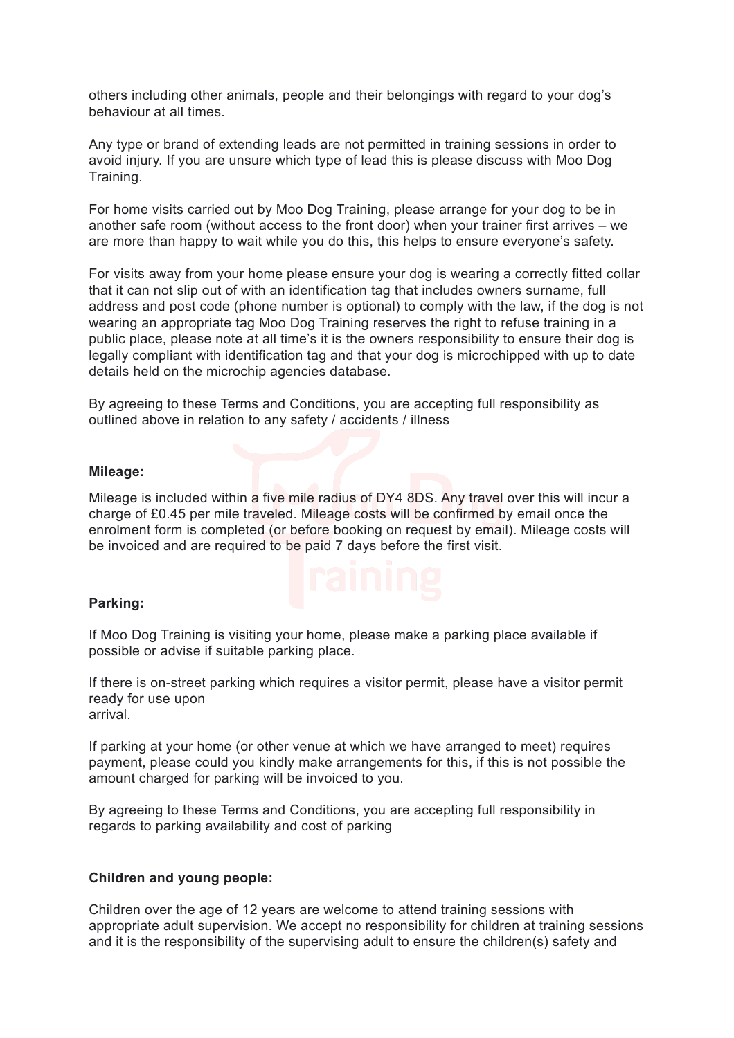others including other animals, people and their belongings with regard to your dog's behaviour at all times.

Any type or brand of extending leads are not permitted in training sessions in order to avoid injury. If you are unsure which type of lead this is please discuss with Moo Dog Training.

For home visits carried out by Moo Dog Training, please arrange for your dog to be in another safe room (without access to the front door) when your trainer first arrives – we are more than happy to wait while you do this, this helps to ensure everyone's safety.

For visits away from your home please ensure your dog is wearing a correctly fitted collar that it can not slip out of with an identification tag that includes owners surname, full address and post code (phone number is optional) to comply with the law, if the dog is not wearing an appropriate tag Moo Dog Training reserves the right to refuse training in a public place, please note at all time's it is the owners responsibility to ensure their dog is legally compliant with identification tag and that your dog is microchipped with up to date details held on the microchip agencies database.

By agreeing to these Terms and Conditions, you are accepting full responsibility as outlined above in relation to any safety / accidents / illness

## **Mileage:**

Mileage is included within a five mile radius of DY4 8DS. Any travel over this will incur a charge of £0.45 per mile traveled. Mileage costs will be confirmed by email once the enrolment form is completed (or before booking on request by email). Mileage costs will be invoiced and are required to be paid 7 days before the first visit.

## **Parking:**

If Moo Dog Training is visiting your home, please make a parking place available if possible or advise if suitable parking place.

If there is on-street parking which requires a visitor permit, please have a visitor permit ready for use upon arrival.

If parking at your home (or other venue at which we have arranged to meet) requires payment, please could you kindly make arrangements for this, if this is not possible the amount charged for parking will be invoiced to you.

By agreeing to these Terms and Conditions, you are accepting full responsibility in regards to parking availability and cost of parking

## **Children and young people:**

Children over the age of 12 years are welcome to attend training sessions with appropriate adult supervision. We accept no responsibility for children at training sessions and it is the responsibility of the supervising adult to ensure the children(s) safety and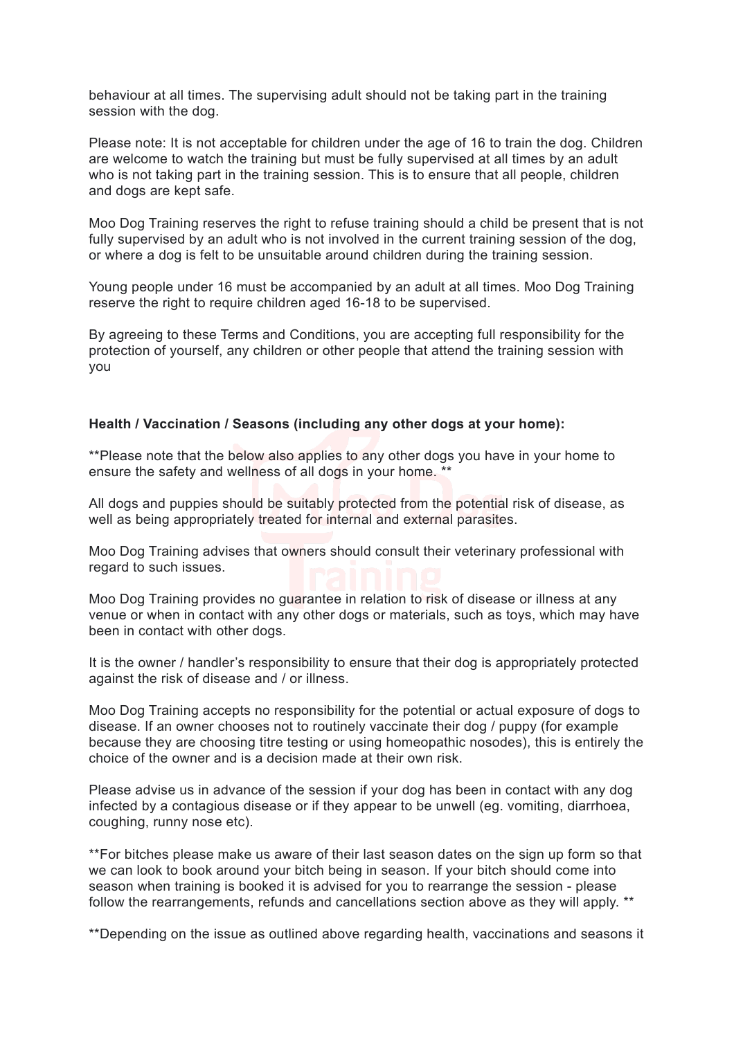behaviour at all times. The supervising adult should not be taking part in the training session with the dog.

Please note: It is not acceptable for children under the age of 16 to train the dog. Children are welcome to watch the training but must be fully supervised at all times by an adult who is not taking part in the training session. This is to ensure that all people, children and dogs are kept safe.

Moo Dog Training reserves the right to refuse training should a child be present that is not fully supervised by an adult who is not involved in the current training session of the dog, or where a dog is felt to be unsuitable around children during the training session.

Young people under 16 must be accompanied by an adult at all times. Moo Dog Training reserve the right to require children aged 16-18 to be supervised.

By agreeing to these Terms and Conditions, you are accepting full responsibility for the protection of yourself, any children or other people that attend the training session with you

## **Health / Vaccination / Seasons (including any other dogs at your home):**

\*\*Please note that the below also applies to any other dogs you have in your home to ensure the safety and wellness of all dogs in your home. \*\*

All dogs and puppies should be suitably protected from the potential risk of disease, as well as being appropriately treated for internal and external parasites.

Moo Dog Training advises that owners should consult their veterinary professional with regard to such issues.

Moo Dog Training provides no guarantee in relation to risk of disease or illness at any venue or when in contact with any other dogs or materials, such as toys, which may have been in contact with other dogs.

It is the owner / handler's responsibility to ensure that their dog is appropriately protected against the risk of disease and / or illness.

Moo Dog Training accepts no responsibility for the potential or actual exposure of dogs to disease. If an owner chooses not to routinely vaccinate their dog / puppy (for example because they are choosing titre testing or using homeopathic nosodes), this is entirely the choice of the owner and is a decision made at their own risk.

Please advise us in advance of the session if your dog has been in contact with any dog infected by a contagious disease or if they appear to be unwell (eg. vomiting, diarrhoea, coughing, runny nose etc).

\*\*For bitches please make us aware of their last season dates on the sign up form so that we can look to book around your bitch being in season. If your bitch should come into season when training is booked it is advised for you to rearrange the session - please follow the rearrangements, refunds and cancellations section above as they will apply. \*\*

\*\*Depending on the issue as outlined above regarding health, vaccinations and seasons it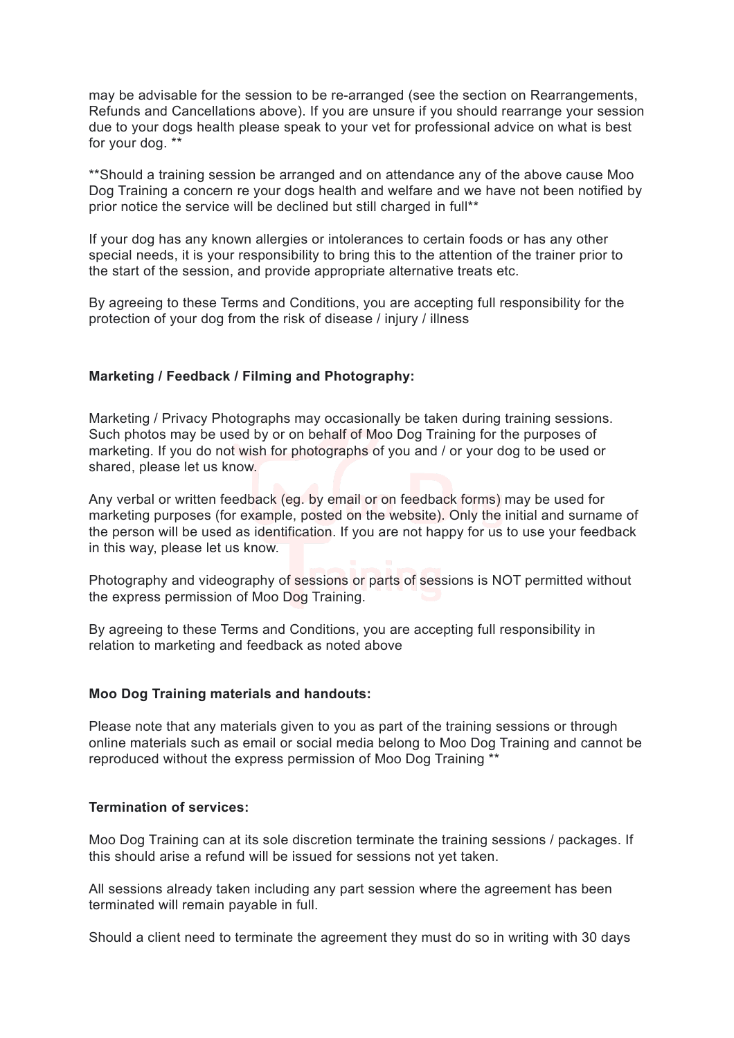may be advisable for the session to be re-arranged (see the section on Rearrangements, Refunds and Cancellations above). If you are unsure if you should rearrange your session due to your dogs health please speak to your vet for professional advice on what is best for your dog. \*\*

\*\*Should a training session be arranged and on attendance any of the above cause Moo Dog Training a concern re your dogs health and welfare and we have not been notified by prior notice the service will be declined but still charged in full\*\*

If your dog has any known allergies or intolerances to certain foods or has any other special needs, it is your responsibility to bring this to the attention of the trainer prior to the start of the session, and provide appropriate alternative treats etc.

By agreeing to these Terms and Conditions, you are accepting full responsibility for the protection of your dog from the risk of disease / injury / illness

## **Marketing / Feedback / Filming and Photography:**

Marketing / Privacy Photographs may occasionally be taken during training sessions. Such photos may be used by or on behalf of Moo Dog Training for the purposes of marketing. If you do not wish for photographs of you and / or your dog to be used or shared, please let us know.

Any verbal or written feedback (eg. by email or on feedback forms) may be used for marketing purposes (for example, posted on the website). Only the initial and surname of the person will be used as identification. If you are not happy for us to use your feedback in this way, please let us know.

Photography and videography of sessions or parts of sessions is NOT permitted without the express permission of Moo Dog Training.

By agreeing to these Terms and Conditions, you are accepting full responsibility in relation to marketing and feedback as noted above

## **Moo Dog Training materials and handouts:**

Please note that any materials given to you as part of the training sessions or through online materials such as email or social media belong to Moo Dog Training and cannot be reproduced without the express permission of Moo Dog Training \*\*

## **Termination of services:**

Moo Dog Training can at its sole discretion terminate the training sessions / packages. If this should arise a refund will be issued for sessions not yet taken.

All sessions already taken including any part session where the agreement has been terminated will remain payable in full.

Should a client need to terminate the agreement they must do so in writing with 30 days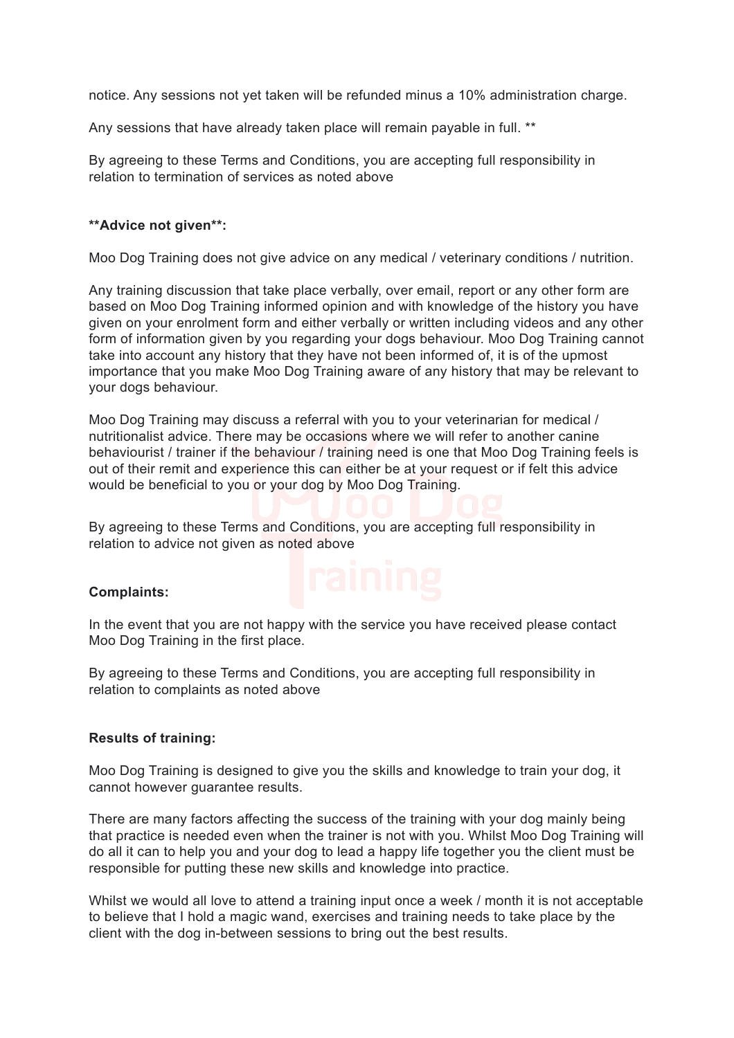notice. Any sessions not yet taken will be refunded minus a 10% administration charge.

Any sessions that have already taken place will remain payable in full. \*\*

By agreeing to these Terms and Conditions, you are accepting full responsibility in relation to termination of services as noted above

## **\*\*Advice not given\*\*:**

Moo Dog Training does not give advice on any medical / veterinary conditions / nutrition.

Any training discussion that take place verbally, over email, report or any other form are based on Moo Dog Training informed opinion and with knowledge of the history you have given on your enrolment form and either verbally or written including videos and any other form of information given by you regarding your dogs behaviour. Moo Dog Training cannot take into account any history that they have not been informed of, it is of the upmost importance that you make Moo Dog Training aware of any history that may be relevant to your dogs behaviour.

Moo Dog Training may discuss a referral with you to your veterinarian for medical / nutritionalist advice. There may be occasions where we will refer to another canine behaviourist / trainer if the behaviour / training need is one that Moo Dog Training feels is out of their remit and experience this can either be at your request or if felt this advice would be beneficial to you or your dog by Moo Dog Training.

By agreeing to these Terms and Conditions, you are accepting full responsibility in relation to advice not given as noted above

## **Complaints:**

In the event that you are not happy with the service you have received please contact Moo Dog Training in the first place.

By agreeing to these Terms and Conditions, you are accepting full responsibility in relation to complaints as noted above

## **Results of training:**

Moo Dog Training is designed to give you the skills and knowledge to train your dog, it cannot however guarantee results.

There are many factors affecting the success of the training with your dog mainly being that practice is needed even when the trainer is not with you. Whilst Moo Dog Training will do all it can to help you and your dog to lead a happy life together you the client must be responsible for putting these new skills and knowledge into practice.

Whilst we would all love to attend a training input once a week / month it is not acceptable to believe that I hold a magic wand, exercises and training needs to take place by the client with the dog in-between sessions to bring out the best results.